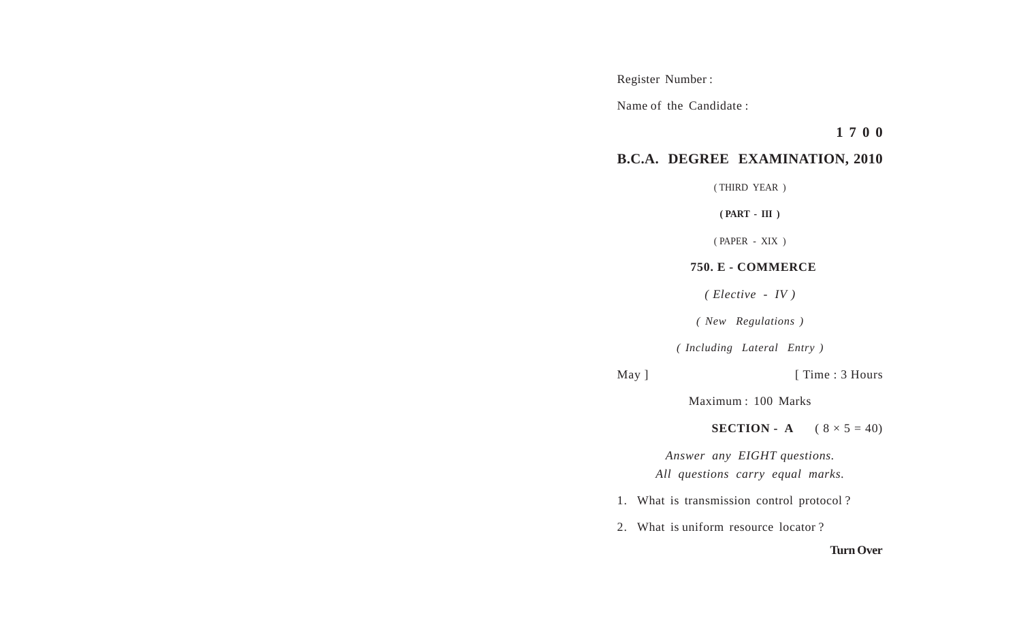Register Number :

Name of the Candidate :

**1 7 0 0**

## **B.C.A. DEGREE EXAMINATION, 2010**

( THIRD YEAR )

**( PART - III )**

( PAPER - XIX )

## **750. E - COMMERCE**

*( Elective - IV )*

*( New Regulations )*

*( Including Lateral Entry )*

May ] [ Time : 3 Hours

Maximum : 100 Marks

**SECTION - A**  $(8 \times 5 = 40)$ 

*Answer any EIGHT questions. All questions carry equal marks.*

- 1. What is transmission control protocol ?
- 2. What is uniform resource locator ?

## **Turn Over**